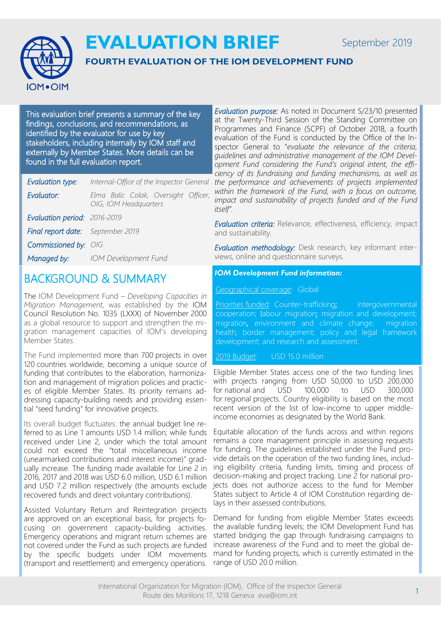September 2019



# **EVALUATION BRIEF**

#### **FOURTH EVALUATION OF THE IOM DEVELOPMENT FUND**

This evaluation brief presents a summary of the key findings, conclusions, and recommendations, as identified by the evaluator for use by key stakeholders, including internally by IOM staff and externally by Member States. More details can be found in the full evaluation report.

| Evaluation type:                         | Internal-Office of the Inspector General                      |
|------------------------------------------|---------------------------------------------------------------|
| Evaluator:                               | Elma Balic Colak, Oversight Officer,<br>OIG, IOM Headquarters |
| Evaluation period: 2016-2019             |                                                               |
| <b>Final report date:</b> September 2019 |                                                               |
| Commissioned by: OIG                     |                                                               |
| Managed by:                              | <b>IOM Development Fund</b>                                   |
|                                          |                                                               |

### BACKGROUND & SUMMARY

The IOM Development Fund – *Developing Capacities in Migration Management,* was established by the IOM Council Resolution No. 1035 (LXXX) of November 2000 as a global resource to support and strengthen the migration management capacities of IOM's developing Member States.

The Fund implemented more than 700 projects in over 120 countries worldwide, becoming a unique source of funding that contributes to the elaboration, harmonization and management of migration policies and practices of eligible Member States. Its priority remains addressing capacity-building needs and providing essential "seed funding" for innovative projects.

Its overall budget fluctuates: the annual budget line referred to as Line 1 amounts USD 1.4 million; while funds received under Line 2, under which the total amount could not exceed the "total miscellaneous income (unearmarked contributions and interest income)" gradually increase. The funding made available for Line 2 in 2016, 2017 and 2018 was USD 6.0 million, USD 6.1 million and USD 7.2 million respectively (the amounts exclude recovered funds and direct voluntary contributions).

Assisted Voluntary Return and Reintegration projects are approved on an exceptional basis, for projects focusing on government capacity-building activities. Emergency operations and migrant return schemes are not covered under the Fund as such projects are funded by the specific budgets under IOM movements (transport and resettlement) and emergency operations.

*Evaluation purpose:* As noted in Document S/23/10 presented at the Twenty-Third Session of the Standing Committee on Programmes and Finance (SCPF) of October 2018, a fourth evaluation of the Fund is conducted by the Office of the Inspector General to "*evaluate the relevance of the criteria, guidelines and administrative management of the IOM Development Fund considering the Fund's original intent, the efficiency of its fundraising and funding mechanisms, as well as the performance and achievements of projects implemented within the framework of the Fund, with a focus on outcome, impact and sustainability of projects funded and of the Fund itself".* 

*Evaluation criteria:* Relevance, effectiveness, efficiency, impact and sustainability.

*Evaluation methodology:* Desk research, key informant interviews, online and questionnaire surveys.

*IOM Development Fund information:*

Geographical coverage: Global

Priorities funded: Counter-trafficking; intergovernmental cooperation; l[abour migration;](http://www.iom.int/labour-migration) migration and development; migration, environment and climate change; migration health; border management; policy and legal framework development; and research and assessment.

2019 Budget: USD 15.0 million

Eligible Member States access one of the two funding lines with projects ranging from USD 50,000 to USD 200,000 for national and USD 100,000 to USD 300,000 for regional projects. Country eligibility is based on the most recent version of the list of low-income to upper middleincome economies as designated by the World Bank.

Equitable allocation of the funds across and within regions remains a core management principle in assessing requests for funding. The guidelines established under the Fund provide details on the operation of the two funding lines, including eligibility criteria, funding limits, timing and process of decision-making and project tracking. Line 2 for national projects does not authorize access to the fund for Member States subject to Article 4 of IOM Constitution regarding delays in their assessed contributions.

Demand for funding from eligible Member States exceeds the available funding levels; the IOM Development Fund has started bridging the gap through fundraising campaigns to increase awareness of the Fund and to meet the global demand for funding projects, which is currently estimated in the range of USD 20.0 million.